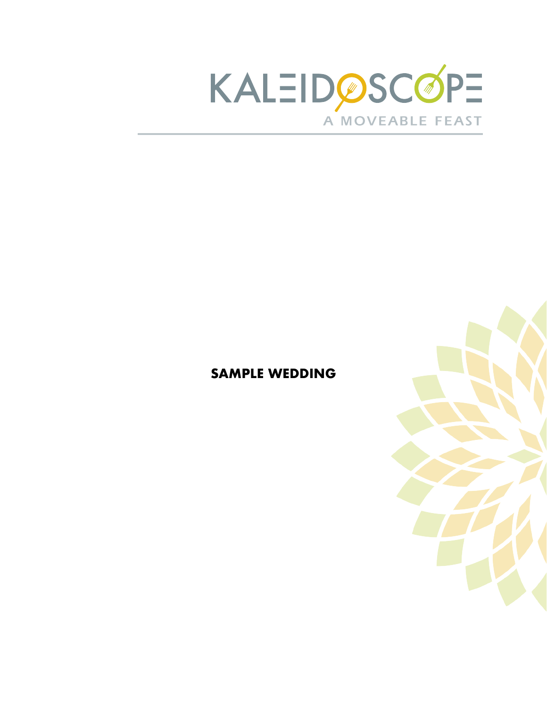

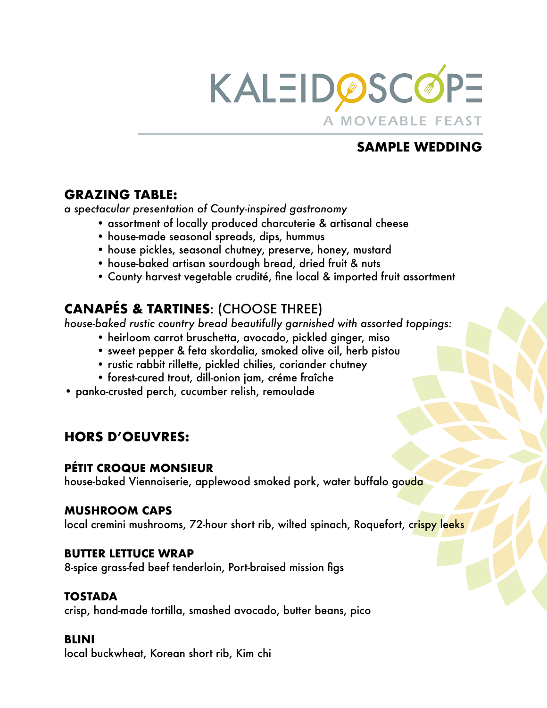

## **GRAZING TABLE:**

*a spectacular presentation of County-inspired gastronomy* 

- assortment of locally produced charcuterie & artisanal cheese
- house-made seasonal spreads, dips, hummus
- house pickles, seasonal chutney, preserve, honey, mustard
- house-baked artisan sourdough bread, dried fruit & nuts
- County harvest vegetable crudité, fine local & imported fruit assortment

# **CANAPÉS & TARTINES**: (CHOOSE THREE)

*house-baked rustic country bread beautifully garnished with assorted toppings:* 

- heirloom carrot bruschetta, avocado, pickled ginger, miso
- sweet pepper & feta skordalia, smoked olive oil, herb pistou
- rustic rabbit rillette, pickled chilies, coriander chutney
- forest-cured trout, dill-onion jam, créme fraîche
- panko-crusted perch, cucumber relish, remoulade

## **HORS D'OEUVRES:**

### **PÉTIT CROQUE MONSIEUR**

house-baked Viennoiserie, applewood smoked pork, water buffalo gouda

#### **MUSHROOM CAPS**

local cremini mushrooms, 72-hour short rib, wilted spinach, Roquefort, crispy leeks

#### **BUTTER LETTUCE WRAP**

8-spice grass-fed beef tenderloin, Port-braised mission figs

### **TOSTADA**

crisp, hand-made tortilla, smashed avocado, butter beans, pico

### **BLINI**

local buckwheat, Korean short rib, Kim chi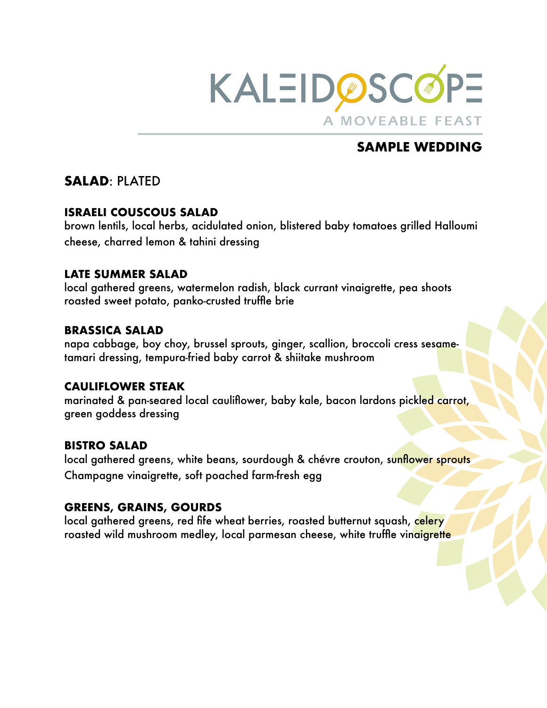

## **SALAD**: PLATED

#### **ISRAELI COUSCOUS SALAD**

brown lentils, local herbs, acidulated onion, blistered baby tomatoes grilled Halloumi cheese, charred lemon & tahini dressing

#### **LATE SUMMER SALAD**

local gathered greens, watermelon radish, black currant vinaigrette, pea shoots roasted sweet potato, panko-crusted truffle brie

#### **BRASSICA SALAD**

napa cabbage, boy choy, brussel sprouts, ginger, scallion, broccoli cress sesametamari dressing, tempura-fried baby carrot & shiitake mushroom

#### **CAULIFLOWER STEAK**

marinated & pan-seared local cauliflower, baby kale, bacon lardons pickled carrot, green goddess dressing

### **BISTRO SALAD**

local gathered greens, white beans, sourdough & chévre crouton, sunflower sprouts Champagne vinaigrette, soft poached farm-fresh egg

### **GREENS, GRAINS, GOURDS**

local gathered greens, red fife wheat berries, roasted butternut squash, celery roasted wild mushroom medley, local parmesan cheese, white truffle vinaigrette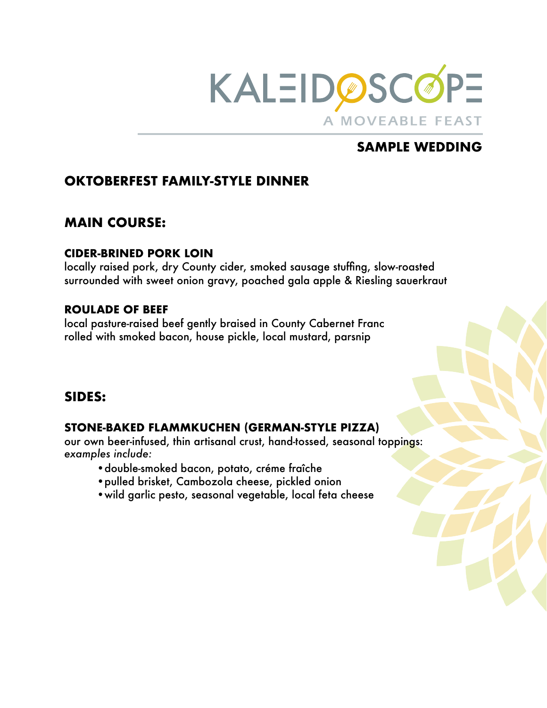

## **OKTOBERFEST FAMILY-STYLE DINNER**

## **MAIN COURSE:**

#### **CIDER-BRINED PORK LOIN**

locally raised pork, dry County cider, smoked sausage stuffing, slow-roasted surrounded with sweet onion gravy, poached gala apple & Riesling sauerkraut

### **ROULADE OF BEEF**

local pasture-raised beef gently braised in County Cabernet Franc rolled with smoked bacon, house pickle, local mustard, parsnip

### **SIDES:**

### **STONE-BAKED FLAMMKUCHEN (GERMAN-STYLE PIZZA)**

our own beer-infused, thin artisanal crust, hand-tossed, seasonal toppings: *examples include:*

- •double-smoked bacon, potato, créme fraîche
- •pulled brisket, Cambozola cheese, pickled onion
- •wild garlic pesto, seasonal vegetable, local feta cheese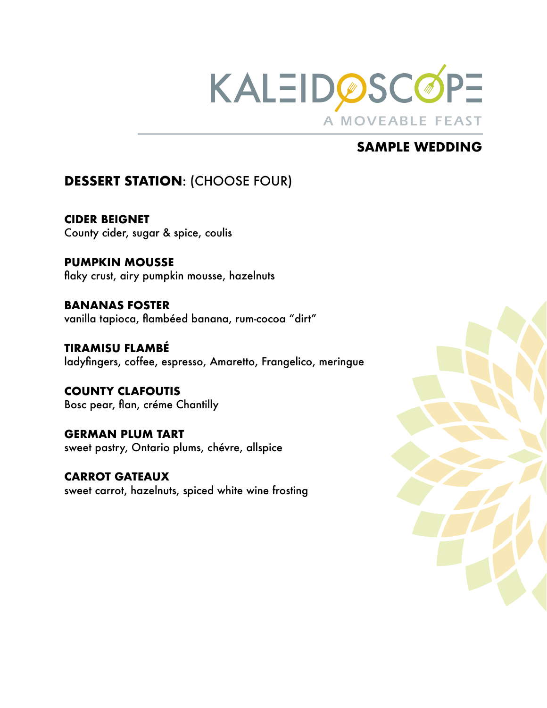

# **DESSERT STATION**: (CHOOSE FOUR)

**CIDER BEIGNET**  County cider, sugar & spice, coulis

**PUMPKIN MOUSSE**  flaky crust, airy pumpkin mousse, hazelnuts

**BANANAS FOSTER**  vanilla tapioca, flambéed banana, rum-cocoa "dirt"

**TIRAMISU FLAMBÉ**  ladyfingers, coffee, espresso, Amaretto, Frangelico, meringue

**COUNTY CLAFOUTIS**  Bosc pear, flan, créme Chantilly

**GERMAN PLUM TART**  sweet pastry, Ontario plums, chévre, allspice

**CARROT GATEAUX**  sweet carrot, hazelnuts, spiced white wine frosting